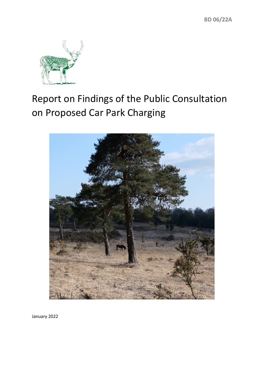

# Report on Findings of the Public Consultation on Proposed Car Park Charging



January 2022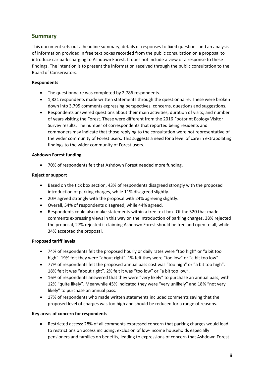# **Summary**

This document sets out a headline summary, details of responses to fixed questions and an analysis of information provided in free text boxes recorded from the public consultation on a proposal to introduce car park charging to Ashdown Forest. It does not include a view or a response to these findings. The intention is to present the information received through the public consultation to the Board of Conservators.

## **Respondents**

- The questionnaire was completed by 2,786 respondents.
- 1,821 respondents made written statements through the questionnaire. These were broken down into 3,795 comments expressing perspectives, concerns, questions and suggestions.
- Respondents answered questions about their main activities, duration of visits, and number of years visiting the Forest. These were different from the 2016 Footprint Ecology Visitor Survey results. The number of correspondents that reported being residents and commoners may indicate that those replying to the consultation were not representative of the wider community of Forest users. This suggests a need for a level of care in extrapolating findings to the wider community of Forest users.

## **Ashdown Forest funding**

• 70% of respondents felt that Ashdown Forest needed more funding.

## **Reject or support**

- Based on the tick box section, 43% of respondents disagreed strongly with the proposed introduction of parking charges, while 11% disagreed slightly.
- 20% agreed strongly with the proposal with 24% agreeing slightly.
- Overall, 54% of respondents disagreed, while 44% agreed.
- Respondents could also make statements within a free text box. Of the 520 that made comments expressing views in this way on the introduction of parking charges, 38% rejected the proposal, 27% rejected it claiming Ashdown Forest should be free and open to all, while 34% accepted the proposal.

## **Proposed tariff levels**

- 74% of respondents felt the proposed hourly or daily rates were "too high" or "a bit too high". 19% felt they were "about right". 1% felt they were "too low" or "a bit too low".
- 77% of respondents felt the proposed annual pass cost was "too high" or "a bit too high". 18% felt it was "about right". 2% felt it was "too low" or "a bit too low".
- 16% of respondents answered that they were "very likely" to purchase an annual pass, with 12% "quite likely". Meanwhile 45% indicated they were "very unlikely" and 18% "not very likely" to purchase an annual pass.
- 17% of respondents who made written statements included comments saying that the proposed level of charges was too high and should be reduced for a range of reasons.

## **Key areas of concern for respondents**

• Restricted access: 28% of all comments expressed concern that parking charges would lead to restrictions on access including: exclusion of low-income households especially pensioners and families on benefits, leading to expressions of concern that Ashdown Forest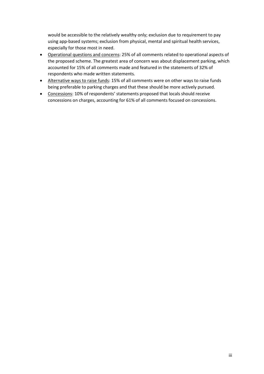would be accessible to the relatively wealthy only; exclusion due to requirement to pay using app-based systems; exclusion from physical, mental and spiritual health services, especially for those most in need.

- Operational questions and concerns: 25% of all comments related to operational aspects of the proposed scheme. The greatest area of concern was about displacement parking, which accounted for 15% of all comments made and featured in the statements of 32% of respondents who made written statements.
- Alternative ways to raise funds: 15% of all comments were on other ways to raise funds being preferable to parking charges and that these should be more actively pursued.
- Concessions: 10% of respondents' statements proposed that locals should receive concessions on charges, accounting for 61% of all comments focused on concessions.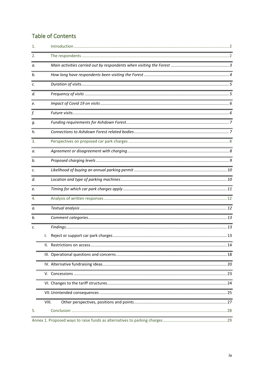# **Table of Contents**

| 1. | <u> 1989 - Johann Stoff, deutscher Stoffen und der Stoffen und der Stoffen und der Stoffen und der Stoffen und der</u> |
|----|------------------------------------------------------------------------------------------------------------------------|
| 2. |                                                                                                                        |
| а. |                                                                                                                        |
| b. |                                                                                                                        |
| с. |                                                                                                                        |
| d. |                                                                                                                        |
| е. |                                                                                                                        |
| f. | <u> 1989 - Andrea Andrew Maria (h. 1989).</u>                                                                          |
| q. |                                                                                                                        |
| h. | <u> 1989 - Johann Stein, marwolaethau a bhann an t-Albann an t-Albann an t-Albann an t-Albann an t-Albann an t-Al</u>  |
| 3. |                                                                                                                        |
| а. |                                                                                                                        |
| b. |                                                                                                                        |
| c. |                                                                                                                        |
| d. |                                                                                                                        |
| e. | <u> 1989 - Johann Barnett, fransk politik (f. 1989)</u>                                                                |
| 4. |                                                                                                                        |
| а. |                                                                                                                        |
| b. |                                                                                                                        |
| c. | <u> 2002 - Jan James James James James James James James James James James James James James James James James J</u>   |
|    | Ι.                                                                                                                     |
|    |                                                                                                                        |
|    |                                                                                                                        |
|    |                                                                                                                        |
|    |                                                                                                                        |
|    |                                                                                                                        |
|    |                                                                                                                        |
|    | VIII.                                                                                                                  |
| 5. |                                                                                                                        |
|    |                                                                                                                        |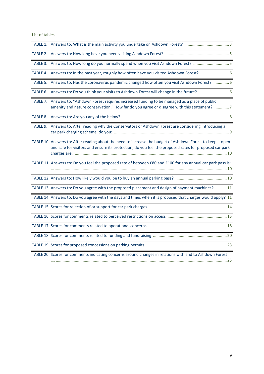List of tables

| TABLE 3. Answers to: How long do you normally spend when you visit Ashdown Forest? 5                                                                                                                                 |
|----------------------------------------------------------------------------------------------------------------------------------------------------------------------------------------------------------------------|
|                                                                                                                                                                                                                      |
| TABLE 5. Answers to: Has the coronavirus pandemic changed how often you visit Ashdown Forest?  6                                                                                                                     |
|                                                                                                                                                                                                                      |
| TABLE 7. Answers to: "Ashdown Forest requires increased funding to be managed as a place of public<br>amenity and nature conservation." How far do you agree or disagree with this statement?  7                     |
|                                                                                                                                                                                                                      |
| TABLE 9. Answers to: After reading why the Conservators of Ashdown Forest are considering introducing a                                                                                                              |
| TABLE 10. Answers to: After reading about the need to increase the budget of Ashdown Forest to keep it open<br>and safe for visitors and ensure its protection, do you feel the proposed rates for proposed car park |
| TABLE 11. Answers to: Do you feel the proposed rate of between £80 and £100 for any annual car park pass is:                                                                                                         |
|                                                                                                                                                                                                                      |
| TABLE 13. Answers to: Do you agree with the proposed placement and design of payment machines?  11                                                                                                                   |
| TABLE 14. Answers to: Do you agree with the days and times when it is proposed that charges would apply? 11                                                                                                          |
|                                                                                                                                                                                                                      |
|                                                                                                                                                                                                                      |
|                                                                                                                                                                                                                      |
|                                                                                                                                                                                                                      |
|                                                                                                                                                                                                                      |
| TABLE 20. Scores for comments indicating concerns around changes in relations with and to Ashdown Forest<br>25                                                                                                       |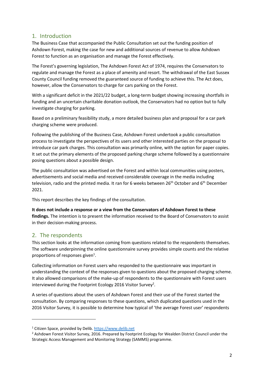# <span id="page-5-0"></span>1. Introduction

The Business Case that accompanied the Public Consultation set out the funding position of Ashdown Forest, making the case for new and additional sources of revenue to allow Ashdown Forest to function as an organisation and manage the Forest effectively.

The Forest's governing legislation, The Ashdown Forest Act of 1974, requires the Conservators to regulate and manage the Forest as a place of amenity and resort. The withdrawal of the East Sussex County Council funding removed the guaranteed source of funding to achieve this. The Act does, however, allow the Conservators to charge for cars parking on the Forest.

With a significant deficit in the 2021/22 budget, a long-term budget showing increasing shortfalls in funding and an uncertain charitable donation outlook, the Conservators had no option but to fully investigate charging for parking.

Based on a preliminary feasibility study, a more detailed business plan and proposal for a car park charging scheme were produced.

Following the publishing of the Business Case, Ashdown Forest undertook a public consultation process to investigate the perspectives of its users and other interested parties on the proposal to introduce car park charges. This consultation was primarily online, with the option for paper copies. It set out the primary elements of the proposed parking charge scheme followed by a questionnaire posing questions about a possible design.

The public consultation was advertised on the Forest and within local communities using posters, advertisements and social media and received considerable coverage in the media including television, radio and the printed media. It ran for 6 weeks between 26<sup>th</sup> October and 6<sup>th</sup> December 2021.

This report describes the key findings of the consultation.

**It does not include a response or a view from the Conservators of Ashdown Forest to these findings.** The intention is to present the information received to the Board of Conservators to assist in their decision-making process.

# <span id="page-5-1"></span>2. The respondents

This section looks at the information coming from questions related to the respondents themselves. The software underpinning the online questionnaire survey provides simple counts and the relative proportions of responses given<sup>1</sup>.

Collecting information on Forest users who responded to the questionnaire was important in understanding the context of the responses given to questions about the proposed charging scheme. It also allowed comparisons of the make-up of respondents to the questionnaire with Forest users interviewed during the Footprint Ecology 2016 Visitor Survey<sup>2</sup>.

A series of questions about the users of Ashdown Forest and their use of the Forest started the consultation. By comparing responses to these questions, which duplicated questions used in the 2016 Visitor Survey, it is possible to determine how typical of 'the average Forest user' respondents

<sup>1</sup> Citizen Space, provided by Delib. [https://www.delib.net](https://www.delib.net/) 

<sup>&</sup>lt;sup>2</sup> Ashdown Forest Visitor Survey, 2016. Prepared by Footprint Ecology for Wealden District Council under the Strategic Access Management and Monitoring Strategy (SAMMS) programme.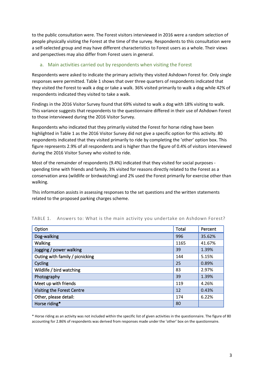to the public consultation were. The Forest visitors interviewed in 2016 were a random selection of people physically visiting the Forest at the time of the survey. Respondents to this consultation were a self-selected group and may have different characteristics to Forest users as a whole. Their views and perspectives may also differ from Forest users in general.

## <span id="page-6-0"></span>a. Main activities carried out by respondents when visiting the Forest

Respondents were asked to indicate the primary activity they visited Ashdown Forest for. Only single responses were permitted. Table 1 shows that over three quarters of respondents indicated that they visited the Forest to walk a dog or take a walk. 36% visited primarily to walk a dog while 42% of respondents indicated they visited to take a walk.

Findings in the 2016 Visitor Survey found that 69% visited to walk a dog with 18% visiting to walk. This variance suggests that respondents to the questionnaire differed in their use of Ashdown Forest to those interviewed during the 2016 Visitor Survey.

Respondents who indicated that they primarily visited the Forest for horse riding have been highlighted in Table 1 as the 2016 Visitor Survey did not give a specific option for this activity. 80 respondents indicated that they visited primarily to ride by completing the 'other' option box. This figure represents 2.9% of all respondents and is higher than the figure of 0.4% of visitors interviewed during the 2016 Visitor Survey who visited to ride.

Most of the remainder of respondents (9.4%) indicated that they visited for social purposes spending time with friends and family. 3% visited for reasons directly related to the Forest as a conservation area (wildlife or birdwatching) and 2% used the Forest primarily for exercise other than walking.

This information assists in assessing responses to the set questions and the written statements related to the proposed parking charges scheme.

| Option                          | Total | Percent |
|---------------------------------|-------|---------|
| Dog-walking                     | 996   | 35.62%  |
| Walking                         | 1165  | 41.67%  |
| Jogging / power walking         | 39    | 1.39%   |
| Outing with family / picnicking | 144   | 5.15%   |
| Cycling                         | 25    | 0.89%   |
| Wildlife / bird watching        | 83    | 2.97%   |
| Photography                     | 39    | 1.39%   |
| Meet up with friends            | 119   | 4.26%   |
| Visiting the Forest Centre      | 12    | 0.43%   |
| Other, please detail:           | 174   | 6.22%   |
| Horse riding*                   | 80    |         |

#### <span id="page-6-1"></span>TABLE 1. Answers to: What is the main activity you undertake on Ashdown Forest?

\* Horse riding as an activity was not included within the specific list of given activities in the questionnaire. The figure of 80 accounting for 2.86% of respondents was derived from responses made under the 'other' box on the questionnaire.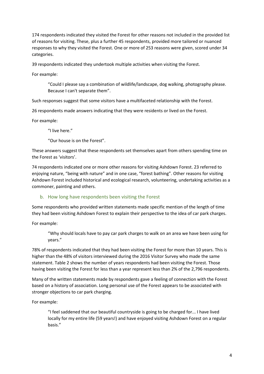174 respondents indicated they visited the Forest for other reasons not included in the provided list of reasons for visiting. These, plus a further 45 respondents, provided more tailored or nuanced responses to why they visited the Forest. One or more of 253 reasons were given, scored under 34 categories.

39 respondents indicated they undertook multiple activities when visiting the Forest.

For example:

"Could I please say a combination of wildlife/landscape, dog walking, photography please. Because I can't separate them".

Such responses suggest that some visitors have a multifaceted relationship with the Forest.

26 respondents made answers indicating that they were residents or lived on the Forest.

For example:

"I live here."

"Our house is on the Forest".

These answers suggest that these respondents set themselves apart from others spending time on the Forest as 'visitors'.

74 respondents indicated one or more other reasons for visiting Ashdown Forest. 23 referred to enjoying nature, "being with nature" and in one case, "forest bathing". Other reasons for visiting Ashdown Forest included historical and ecological research, volunteering, undertaking activities as a commoner, painting and others.

## <span id="page-7-0"></span>b. How long have respondents been visiting the Forest

Some respondents who provided written statements made specific mention of the length of time they had been visiting Ashdown Forest to explain their perspective to the idea of car park charges.

For example:

"Why should locals have to pay car park charges to walk on an area we have been using for years."

78% of respondents indicated that they had been visiting the Forest for more than 10 years. This is higher than the 48% of visitors interviewed during the 2016 Visitor Survey who made the same statement. Table 2 shows the number of years respondents had been visiting the Forest. Those having been visiting the Forest for less than a year represent less than 2% of the 2,796 respondents.

Many of the written statements made by respondents gave a feeling of connection with the Forest based on a history of association. Long personal use of the Forest appears to be associated with stronger objections to car park charging.

For example:

"I feel saddened that our beautiful countryside is going to be charged for... I have lived locally for my entire life (59 years!) and have enjoyed visiting Ashdown Forest on a regular basis."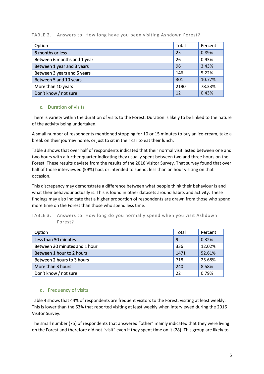## <span id="page-8-2"></span>TABLE 2. Answers to: How long have you been visiting Ashdown Forest?

| Option                      | <b>Total</b> | Percent |
|-----------------------------|--------------|---------|
| 6 months or less            | 25           | 0.89%   |
| Between 6 months and 1 year | 26           | 0.93%   |
| Between 1 year and 3 years  | 96           | 3.43%   |
| Between 3 years and 5 years | 146          | 5.22%   |
| Between 5 and 10 years      | 301          | 10.77%  |
| More than 10 years          | 2190         | 78.33%  |
| Don't know / not sure       | 12           | 0.43%   |

## <span id="page-8-0"></span>c. Duration of visits

There is variety within the duration of visits to the Forest. Duration is likely to be linked to the nature of the activity being undertaken.

A small number of respondents mentioned stopping for 10 or 15 minutes to buy an ice-cream, take a break on their journey home, or just to sit in their car to eat their lunch.

Table 3 shows that over half of respondents indicated that their normal visit lasted between one and two hours with a further quarter indicating they usually spent between two and three hours on the Forest. These results deviate from the results of the 2016 Visitor Survey. That survey found that over half of those interviewed (59%) had, or intended to spend, less than an hour visiting on that occasion.

This discrepancy may demonstrate a difference between what people think their behaviour is and what their behaviour actually is. This is found in other datasets around habits and activity. These findings may also indicate that a higher proportion of respondents are drawn from those who spend more time on the Forest than those who spend less time.

## <span id="page-8-3"></span>TABLE 3. Answers to: How long do you normally spend when you visit Ashdown Forest?

| Option                        | Total | Percent |
|-------------------------------|-------|---------|
| Less than 30 minutes          | 9     | 0.32%   |
| Between 30 minutes and 1 hour | 336   | 12.02%  |
| Between 1 hour to 2 hours     | 1471  | 52.61%  |
| Between 2 hours to 3 hours    | 718   | 25.68%  |
| More than 3 hours             | 240   | 8.58%   |
| Don't know / not sure         | 22    | 0.79%   |

## <span id="page-8-1"></span>d. Frequency of visits

Table 4 shows that 44% of respondents are frequent visitors to the Forest, visiting at least weekly. This is lower than the 63% that reported visiting at least weekly when interviewed during the 2016 Visitor Survey.

The small number (75) of respondents that answered "other" mainly indicated that they were living on the Forest and therefore did not "visit" even if they spent time on it (28). This group are likely to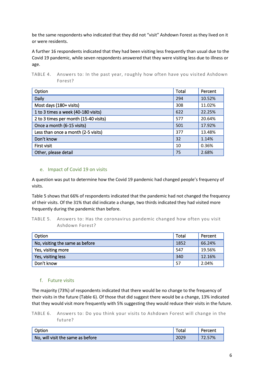be the same respondents who indicated that they did not "visit" Ashdown Forest as they lived on it or were residents.

A further 16 respondents indicated that they had been visiting less frequently than usual due to the Covid 19 pandemic, while seven respondents answered that they were visiting less due to illness or age.

<span id="page-9-2"></span>

| TABLE 4. Answers to: In the past year, roughly how often have you visited Ashdown |  |
|-----------------------------------------------------------------------------------|--|
| Forest?                                                                           |  |

| Option                                | Total | Percent |
|---------------------------------------|-------|---------|
| Daily                                 | 294   | 10.52%  |
| Most days (180+ visits)               | 308   | 11.02%  |
| 1 to 3 times a week (40-180 visits)   | 622   | 22.25%  |
| 2 to 3 times per month (15-40 visits) | 577   | 20.64%  |
| Once a month (6-15 visits)            | 501   | 17.92%  |
| Less than once a month (2-5 visits)   | 377   | 13.48%  |
| Don't know                            | 32    | 1.14%   |
| First visit                           | 10    | 0.36%   |
| Other, please detail                  | 75    | 2.68%   |

## <span id="page-9-0"></span>e. Impact of Covid 19 on visits

A question was put to determine how the Covid 19 pandemic had changed people's frequency of visits.

Table 5 shows that 66% of respondents indicated that the pandemic had not changed the frequency of their visits. Of the 31% that did indicate a change, two thirds indicated they had visited more frequently during the pandemic than before.

<span id="page-9-3"></span>TABLE 5. Answers to: Has the coronavirus pandemic changed how often you visit Ashdown Forest?

| Option                          | Total | Percent |
|---------------------------------|-------|---------|
| No, visiting the same as before | 1852  | 66.24%  |
| Yes, visiting more              | 547   | 19.56%  |
| Yes, visiting less              | 340   | 12.16%  |
| Don't know                      | 57    | 2.04%   |

#### <span id="page-9-1"></span>f. Future visits

The majority (73%) of respondents indicated that there would be no change to the frequency of their visits in the future (Table 6). Of those that did suggest there would be a change, 13% indicated that they would visit more frequently with 5% suggesting they would reduce their visits in the future.

<span id="page-9-4"></span>TABLE 6. Answers to: Do you think your visits to Ashdown Forest will change in the future?

| Option                                       | Total | Percent |
|----------------------------------------------|-------|---------|
| $\sqrt{ }$ No, will visit the same as before | 2029  | 72.57%  |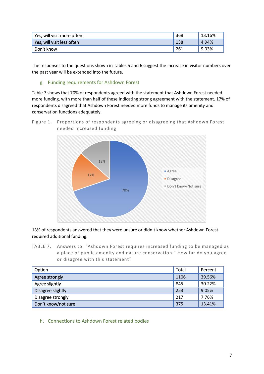| Yes, will visit more often | 368 | 13.16% |
|----------------------------|-----|--------|
| Yes, will visit less often | 138 | 4.94%  |
| Don't know                 | 261 | 9.33%  |

The responses to the questions shown in Tables 5 and 6 suggest the increase in visitor numbers over the past year will be extended into the future.

## <span id="page-10-0"></span>g. Funding requirements for Ashdown Forest

Table 7 shows that 70% of respondents agreed with the statement that Ashdown Forest needed more funding, with more than half of these indicating strong agreement with the statement. 17% of respondents disagreed that Ashdown Forest needed more funds to manage its amenity and conservation functions adequately.

Figure 1. Proportions of respondents agreeing or disagreeing that Ashdown Forest needed increased funding



13% of respondents answered that they were unsure or didn't know whether Ashdown Forest required additional funding.

<span id="page-10-2"></span>TABLE 7. Answers to: "Ashdown Forest requires increased funding to be managed as a place of public amenity and nature conservation." How far do you agree or disagree with this statement?

| Option              | Total | Percent |
|---------------------|-------|---------|
| Agree strongly      | 1106  | 39.56%  |
| Agree slightly      | 845   | 30.22%  |
| Disagree slightly   | 253   | 9.05%   |
| Disagree strongly   |       | 7.76%   |
| Don't know/not sure |       | 13.41%  |

<span id="page-10-1"></span>h. Connections to Ashdown Forest related bodies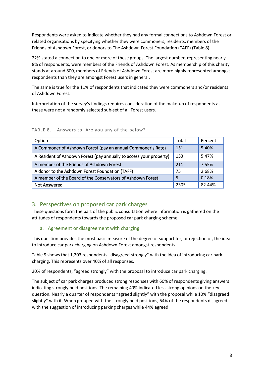Respondents were asked to indicate whether they had any formal connections to Ashdown Forest or related organisations by specifying whether they were commoners, residents, members of the Friends of Ashdown Forest, or donors to The Ashdown Forest Foundation (TAFF) (Table 8).

22% stated a connection to one or more of these groups. The largest number, representing nearly 8% of respondents, were members of the Friends of Ashdown Forest. As membership of this charity stands at around 800, members of Friends of Ashdown Forest are more highly represented amongst respondents than they are amongst Forest users in general.

The same is true for the 11% of respondents that indicated they were commoners and/or residents of Ashdown Forest.

Interpretation of the survey's findings requires consideration of the make-up of respondents as these were not a randomly selected sub-set of all Forest users.

| Option                                                              | Total | Percent |
|---------------------------------------------------------------------|-------|---------|
| A Commoner of Ashdown Forest (pay an annual Commoner's Rate)        | 151   | 5.40%   |
| A Resident of Ashdown Forest (pay annually to access your property) | 153   | 5.47%   |
| A member of the Friends of Ashdown Forest                           |       | 7.55%   |
| A donor to the Ashdown Forest Foundation (TAFF)                     | 75    | 2.68%   |
| A member of the Board of the Conservators of Ashdown Forest         | 5     | 0.18%   |
| <b>Not Answered</b>                                                 | 2305  | 82.44%  |

<span id="page-11-2"></span>TABLE 8. Answers to: Are you any of the below?

# <span id="page-11-0"></span>3. Perspectives on proposed car park charges

These questions form the part of the public consultation where information is gathered on the attitudes of respondents towards the proposed car park charging scheme.

## <span id="page-11-1"></span>a. Agreement or disagreement with charging

This question provides the most basic measure of the degree of support for, or rejection of, the idea to introduce car park charging on Ashdown Forest amongst respondents.

Table 9 shows that 1,203 respondents "disagreed strongly" with the idea of introducing car park charging. This represents over 40% of all responses.

20% of respondents, "agreed strongly" with the proposal to introduce car park charging.

The subject of car park charges produced strong responses with 60% of respondents giving answers indicating strongly held positions. The remaining 40% indicated less strong opinions on the key question. Nearly a quarter of respondents "agreed slightly" with the proposal while 10% "disagreed slightly" with it. When grouped with the strongly held positions, 54% of the respondents disagreed with the suggestion of introducing parking charges while 44% agreed.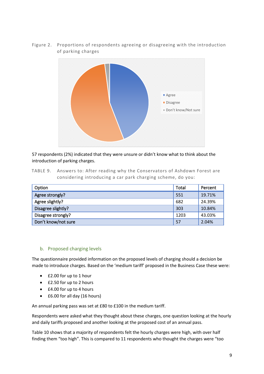Figure 2. Proportions of respondents agreeing or disagreeing with the introduction of parking charges



57 respondents (2%) indicated that they were unsure or didn't know what to think about the introduction of parking charges.

<span id="page-12-1"></span>TABLE 9. Answers to: After reading why the Conservators of Ashdown Forest are considering introducing a car park charging scheme, do you:

| Option              | Total | Percent |
|---------------------|-------|---------|
| Agree strongly?     | 551   | 19.71%  |
| Agree slightly?     | 682   | 24.39%  |
| Disagree slightly?  | 303   | 10.84%  |
| Disagree strongly?  | 1203  | 43.03%  |
| Don't know/not sure | 57    | 2.04%   |

## <span id="page-12-0"></span>b. Proposed charging levels

The questionnaire provided information on the proposed levels of charging should a decision be made to introduce charges. Based on the 'medium tariff' proposed in the Business Case these were:

- £2.00 for up to 1 hour
- £2.50 for up to 2 hours
- £4.00 for up to 4 hours
- £6.00 for all day (16 hours)

An annual parking pass was set at £80 to £100 in the medium tariff.

Respondents were asked what they thought about these charges, one question looking at the hourly and daily tariffs proposed and another looking at the proposed cost of an annual pass.

Table 10 shows that a majority of respondents felt the hourly charges were high, with over half finding them "too high". This is compared to 11 respondents who thought the charges were "too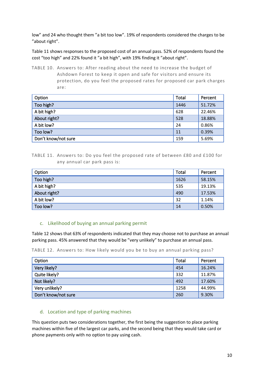low" and 24 who thought them "a bit too low". 19% of respondents considered the charges to be "about right".

Table 11 shows responses to the proposed cost of an annual pass. 52% of respondents found the cost "too high" and 22% found it "a bit high", with 19% finding it "about right".

<span id="page-13-2"></span>TABLE 10. Answers to: After reading about the need to increase the budget of Ashdown Forest to keep it open and safe for visitors and ensure its protection, do you feel the proposed rates for proposed car park charges are:

| Option              | Total | Percent |
|---------------------|-------|---------|
| Too high?           | 1446  | 51.72%  |
| A bit high?         | 628   | 22.46%  |
| About right?        | 528   | 18.88%  |
| A bit low?          | 24    | 0.86%   |
| Too low?            | 11    | 0.39%   |
| Don't know/not sure | 159   | 5.69%   |

<span id="page-13-3"></span>TABLE 11. Answers to: Do you feel the proposed rate of between £80 and £100 for any annual car park pass is:

| Option       | Total | Percent |
|--------------|-------|---------|
| Too high?    | 1626  | 58.15%  |
| A bit high?  | 535   | 19.13%  |
| About right? | 490   | 17.53%  |
| A bit low?   | 32    | 1.14%   |
| Too low?     | 14    | 0.50%   |

## <span id="page-13-0"></span>c. Likelihood of buying an annual parking permit

Table 12 shows that 63% of respondents indicated that they may choose not to purchase an annual parking pass. 45% answered that they would be "very unlikely" to purchase an annual pass.

<span id="page-13-4"></span>TABLE 12. Answers to: How likely would you be to buy an annual parking pass?

| Option              | Total | Percent |
|---------------------|-------|---------|
| Very likely?        | 454   | 16.24%  |
| Quite likely?       | 332   | 11.87%  |
| Not likely?         | 492   | 17.60%  |
| Very unlikely?      | 1258  | 44.99%  |
| Don't know/not sure | 260   | 9.30%   |

## <span id="page-13-1"></span>d. Location and type of parking machines

This question puts two considerations together, the first being the suggestion to place parking machines within five of the largest car parks, and the second being that they would take card or phone payments only with no option to pay using cash.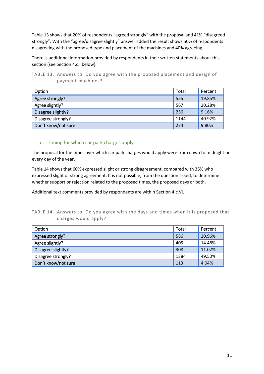Table 13 shows that 20% of respondents "agreed strongly" with the proposal and 41% "disagreed strongly". With the "agree/disagree slightly" answer added the result shows 50% of respondents disagreeing with the proposed type and placement of the machines and 40% agreeing.

There is additional information provided by respondents in their written statements about this section (see Section 4.c.I below).

<span id="page-14-1"></span>TABLE 13. Answers to: Do you agree with the proposed placement and design of payment machines?

| Option              | Total | Percent |
|---------------------|-------|---------|
| Agree strongly?     | 555   | 19.85%  |
| Agree slightly?     | 567   | 20.28%  |
| Disagree slightly?  | 256   | 9.16%   |
| Disagree strongly?  | 1144  | 40.92%  |
| Don't know/not sure | 274   | 9.80%   |

## <span id="page-14-0"></span>e. Timing for which car park charges apply

The proposal for the times over which car park charges would apply were from dawn to midnight on every day of the year.

Table 14 shows that 60% expressed slight or strong disagreement, compared with 35% who expressed slight or strong agreement. It is not possible, from the question asked, to determine whether support or rejection related to the proposed times, the proposed days or both.

Additional text comments provided by respondents are within Section 4.c.VI.

<span id="page-14-2"></span>

| TABLE 14. Answers to: Do you agree with the days and times when it is proposed that |  |  |  |  |  |  |
|-------------------------------------------------------------------------------------|--|--|--|--|--|--|
| charges would apply?                                                                |  |  |  |  |  |  |

| Option              | Total | Percent |
|---------------------|-------|---------|
| Agree strongly?     | 586   | 20.96%  |
| Agree slightly?     | 405   | 14.48%  |
| Disagree slightly?  | 308   | 11.02%  |
| Disagree strongly?  | 1384  | 49.50%  |
| Don't know/not sure | 113   | 4.04%   |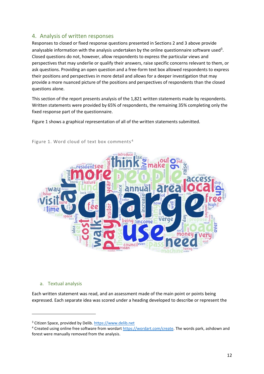# <span id="page-15-0"></span>4. Analysis of written responses

Responses to closed or fixed response questions presented in Sections 2 and 3 above provide analysable information with the analysis undertaken by the online questionnaire software used<sup>3</sup>. Closed questions do not, however, allow respondents to express the particular views and perspectives that may underlie or qualify their answers, raise specific concerns relevant to them, or ask questions. Providing an open question and a free-form text box allowed respondents to express their positions and perspectives in more detail and allows for a deeper investigation that may provide a more nuanced picture of the positions and perspectives of respondents than the closed questions alone.

This section of the report presents analysis of the 1,821 written statements made by respondents. Written statements were provided by 65% of respondents, the remaining 35% completing only the fixed response part of the questionnaire.

Figure 1 shows a graphical representation of all of the written statements submitted.



Figure 1. Word cloud of text box comments <sup>4</sup>

#### <span id="page-15-1"></span>a. Textual analysis

Each written statement was read, and an assessment made of the main point or points being expressed. Each separate idea was scored under a heading developed to describe or represent the

<sup>&</sup>lt;sup>3</sup> Citizen Space, provided by Delib. https://www.delib.net

<sup>&</sup>lt;sup>4</sup> Created using online free software from wordart [https://wordart.com/create.](https://wordart.com/create) The words park, ashdown and forest were manually removed from the analysis.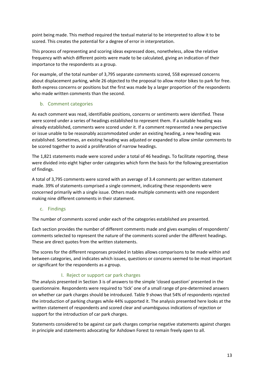point being made. This method required the textual material to be interpreted to allow it to be scored. This creates the potential for a degree of error in interpretation.

This process of representing and scoring ideas expressed does, nonetheless, allow the relative frequency with which different points were made to be calculated, giving an indication of their importance to the respondents as a group.

For example, of the total number of 3,795 separate comments scored, 558 expressed concerns about displacement parking, while 26 objected to the proposal to allow motor bikes to park for free. Both express concerns or positions but the first was made by a larger proportion of the respondents who made written comments than the second.

## <span id="page-16-0"></span>b. Comment categories

As each comment was read, identifiable positions, concerns or sentiments were identified. These were scored under a series of headings established to represent them. If a suitable heading was already established, comments were scored under it. If a comment represented a new perspective or issue unable to be reasonably accommodated under an existing heading, a new heading was established. Sometimes, an existing heading was adjusted or expanded to allow similar comments to be scored together to avoid a proliferation of narrow headings.

The 1,821 statements made were scored under a total of 46 headings. To facilitate reporting, these were divided into eight higher order categories which form the basis for the following presentation of findings.

A total of 3,795 comments were scored with an average of 3.4 comments per written statement made. 39% of statements comprised a single comment, indicating these respondents were concerned primarily with a single issue. Others made multiple comments with one respondent making nine different comments in their statement.

## <span id="page-16-1"></span>c. Findings

The number of comments scored under each of the categories established are presented.

Each section provides the number of different comments made and gives examples of respondents' comments selected to represent the nature of the comments scored under the different headings. These are direct quotes from the written statements.

The scores for the different responses provided in tables allows comparisons to be made within and between categories, and indicates which issues, questions or concerns seemed to be most important or significant for the respondents as a group.

## I. Reject or support car park charges

<span id="page-16-2"></span>The analysis presented in Section 3 is of answers to the simple 'closed question' presented in the questionnaire. Respondents were required to 'tick' one of a small range of pre-determined answers on whether car park charges should be introduced. Table 9 shows that 54% of respondents rejected the introduction of parking charges while 44% supported it. The analysis presented here looks at the written statement of respondents and scored clear and unambiguous indications of rejection or support for the introduction of car park charges.

Statements considered to be against car park charges comprise negative statements against charges in principle and statements advocating for Ashdown Forest to remain freely open to all.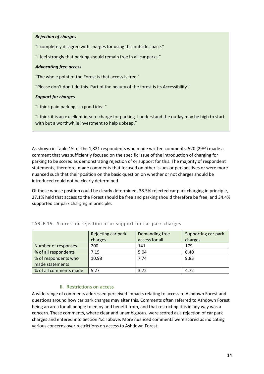## *Rejection of charges*

"I completely disagree with charges for using this outside space."

"I feel strongly that parking should remain free in all car parks."

### *Advocating free access*

"The whole point of the Forest is that access is free."

"Please don't don't do this. Part of the beauty of the forest is its Accessibility!"

## *Support for charges*

"I think paid parking is a good idea."

"I think it is an excellent idea to charge for parking. I understand the outlay may be high to start with but a worthwhile investment to help upkeep."

As shown in Table 15, of the 1,821 respondents who made written comments, 520 (29%) made a comment that was sufficiently focused on the specific issue of the introduction of charging for parking to be scored as demonstrating rejection of or support for this. The majority of respondent statements, therefore, made comments that focused on other issues or perspectives or were more nuanced such that their position on the basic question on whether or not charges should be introduced could not be clearly determined.

Of those whose position could be clearly determined, 38.5% rejected car park charging in principle, 27.1% held that access to the Forest should be free and parking should therefore be free, and 34.4% supported car park charging in principle.

|                        | Rejecting car park<br>charges | Demanding free<br>access for all | Supporting car park<br>charges |
|------------------------|-------------------------------|----------------------------------|--------------------------------|
|                        |                               |                                  |                                |
| Number of responses    | 200                           | 141                              | 179                            |
| % of all respondents   | 7.15                          | 5.04                             | 6.40                           |
| % of respondents who   | 10.98                         | 7.74                             | 9.83                           |
| made statements        |                               |                                  |                                |
| % of all comments made | 5.27                          | 3.72                             | 4.72                           |

## <span id="page-17-1"></span>TABLE 15. Scores for rejection of or support for car park charges

## II. Restrictions on access

<span id="page-17-0"></span>A wide range of comments addressed perceived impacts relating to access to Ashdown Forest and questions around how car park charges may alter this. Comments often referred to Ashdown Forest being an area for all people to enjoy and benefit from, and that restricting this in any way was a concern. These comments, where clear and unambiguous, were scored as a rejection of car park charges and entered into Section 4.c.I above. More nuanced comments were scored as indicating various concerns over restrictions on access to Ashdown Forest.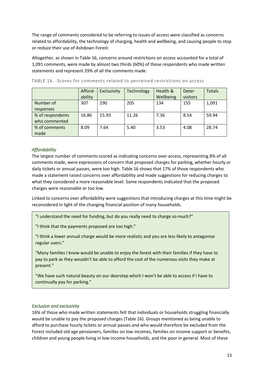The range of comments considered to be referring to issues of access were classified as concerns related to affordability, the technology of charging, health and wellbeing, and causing people to stop or reduce their use of Ashdown Forest.

Altogether, as shown in Table 16, concerns around restrictions on access accounted for a total of 1,091 comments, were made by almost two thirds (60%) of those respondents who made written statements and represent 29% of all the comments made.

|                  | Afford-<br>ability | Exclusivity | <b>Technology</b> | Health &<br>Wellbeing | Deter<br>visitors | <b>Totals</b> |
|------------------|--------------------|-------------|-------------------|-----------------------|-------------------|---------------|
| Number of        | 307                | 290         | 205               | 134                   | 155               | 1,091         |
| responses        |                    |             |                   |                       |                   |               |
| % of respondents | 16.86              | 15.93       | 11.26             | 7.36                  | 8.54              | 59.94         |
| who commented    |                    |             |                   |                       |                   |               |
| % of comments    | 8.09               | 7.64        | 5.40              | 3.53                  | 4.08              | 28.74         |
| made             |                    |             |                   |                       |                   |               |

<span id="page-18-0"></span>TABLE 16. Scores for comments related to perceived restrictions on access

## *Affordability*

The largest number of comments scored as indicating concerns over access, representing 8% of all comments made, were expressions of concern that proposed charges for parking, whether hourly or daily tickets or annual passes, were too high. Table 16 shows that 17% of those respondents who made a statement raised concerns over affordability and made suggestions for reducing charges to what they considered a more reasonable level. Some respondents indicated that the proposed charges were reasonable or too low.

Linked to concerns over affordability were suggestions that introducing charges at this time might be reconsidered in light of the changing financial position of many households.

"I understand the need for funding, but do you really need to charge so much?"

"I think that the payments proposed are too high."

"I think a lower annual charge would be more realistic and you are less likely to antagonise regular users."

"Many families I know would be unable to enjoy the forest with their families if they have to pay to park as they wouldn't be able to afford the cost of the numerous visits they make at present."

"We have such natural beauty on our doorstep which I won't be able to access if I have to continually pay for parking."

#### *Exclusion and exclusivity*

16% of those who made written statements felt that individuals or households struggling financially would be unable to pay the proposed charges (Table 16). Groups mentioned as being unable to afford to purchase hourly tickets or annual passes and who would therefore be excluded from the Forest included old age pensioners, families on low incomes, families on income support or benefits, children and young people living in low-income households, and the poor in general. Most of these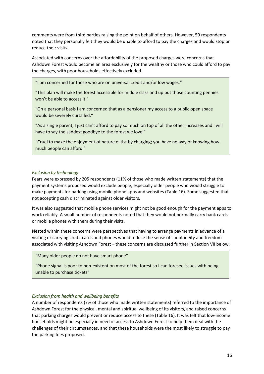comments were from third parties raising the point on behalf of others. However, 59 respondents noted that they personally felt they would be unable to afford to pay the charges and would stop or reduce their visits.

Associated with concerns over the affordability of the proposed charges were concerns that Ashdown Forest would become an area exclusively for the wealthy or those who could afford to pay the charges, with poor households effectively excluded.

"I am concerned for those who are on universal credit and/or low wages."

"This plan will make the forest accessible for middle class and up but those counting pennies won't be able to access it."

"On a personal basis I am concerned that as a pensioner my access to a public open space would be severely curtailed."

"As a single parent, I just can't afford to pay so much on top of all the other increases and I will have to say the saddest goodbye to the forest we love."

"Cruel to make the enjoyment of nature elitist by charging; you have no way of knowing how much people can afford."

#### *Exclusion by technology*

Fears were expressed by 205 respondents (11% of those who made written statements) that the payment systems proposed would exclude people, especially older people who would struggle to make payments for parking using mobile phone apps and websites (Table 16). Some suggested that not accepting cash discriminated against older visitors.

It was also suggested that mobile phone services might not be good enough for the payment apps to work reliably. A small number of respondents noted that they would not normally carry bank cards or mobile phones with them during their visits.

Nested within these concerns were perspectives that having to arrange payments in advance of a visiting or carrying credit cards and phones would reduce the sense of spontaneity and freedom associated with visiting Ashdown Forest – these concerns are discussed further in Section VII below.

#### "Many older people do not have smart phone"

"Phone signal is poor to non-existent on most of the forest so I can foresee issues with being unable to purchase tickets"

#### *Exclusion from health and wellbeing benefits*

A number of respondents (7% of those who made written statements) referred to the importance of Ashdown Forest for the physical, mental and spiritual wellbeing of its visitors, and raised concerns that parking charges would prevent or reduce access to these (Table 16). It was felt that low-income households might be especially in need of access to Ashdown Forest to help them deal with the challenges of their circumstances, and that these households were the most likely to struggle to pay the parking fees proposed.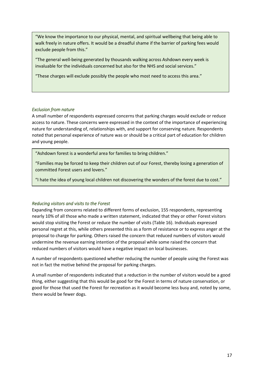"We know the importance to our physical, mental, and spiritual wellbeing that being able to walk freely in nature offers. It would be a dreadful shame if the barrier of parking fees would exclude people from this."

"The general well-being generated by thousands walking across Ashdown every week is invaluable for the individuals concerned but also for the NHS and social services."

"These charges will exclude possibly the people who most need to access this area."

## *Exclusion from nature*

A small number of respondents expressed concerns that parking charges would exclude or reduce access to nature. These concerns were expressed in the context of the importance of experiencing nature for understanding of, relationships with, and support for conserving nature. Respondents noted that personal experience of nature was or should be a critical part of education for children and young people.

"Ashdown forest is a wonderful area for families to bring children."

"Families may be forced to keep their children out of our Forest, thereby losing a generation of committed Forest users and lovers."

"I hate the idea of young local children not discovering the wonders of the forest due to cost."

## *Reducing visitors and visits to the Forest*

Expanding from concerns related to different forms of exclusion, 155 respondents, representing nearly 10% of all those who made a written statement, indicated that they or other Forest visitors would stop visiting the Forest or reduce the number of visits (Table 16). Individuals expressed personal regret at this, while others presented this as a form of resistance or to express anger at the proposal to charge for parking. Others raised the concern that reduced numbers of visitors would undermine the revenue earning intention of the proposal while some raised the concern that reduced numbers of visitors would have a negative impact on local businesses.

A number of respondents questioned whether reducing the number of people using the Forest was not in fact the motive behind the proposal for parking charges.

A small number of respondents indicated that a reduction in the number of visitors would be a good thing, either suggesting that this would be good for the Forest in terms of nature conservation, or good for those that used the Forest for recreation as it would become less busy and, noted by some, there would be fewer dogs.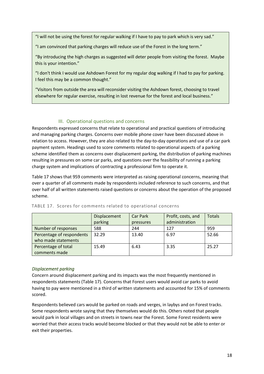"I will not be using the forest for regular walking if I have to pay to park which is very sad."

"I am convinced that parking charges will reduce use of the Forest in the long term."

"By introducing the high charges as suggested will deter people from visiting the forest. Maybe this is your intention."

"I don't think I would use Ashdown Forest for my regular dog walking if I had to pay for parking. I feel this may be a common thought."

"Visitors from outside the area will reconsider visiting the Ashdown forest, choosing to travel elsewhere for regular exercise, resulting in lost revenue for the forest and local business."

## III. Operational questions and concerns

<span id="page-21-0"></span>Respondents expressed concerns that relate to operational and practical questions of introducing and managing parking charges. Concerns over mobile phone cover have been discussed above in relation to access. However, they are also related to the day-to-day operations and use of a car park payment system. Headings used to score comments related to operational aspects of a parking scheme identified them as concerns over displacement parking, the distribution of parking machines resulting in pressures on some car parks, and questions over the feasibility of running a parking charge system and implications of contracting a professional firm to operate it.

Table 17 shows that 959 comments were interpreted as raising operational concerns, meaning that over a quarter of all comments made by respondents included reference to such concerns, and that over half of all written statements raised questions or concerns about the operation of the proposed scheme.

|                           | Displacement<br>parking | Car Park<br>pressures | Profit, costs, and<br>administration | <b>Totals</b> |
|---------------------------|-------------------------|-----------------------|--------------------------------------|---------------|
| Number of responses       | 588                     | 244                   | 127                                  | 959           |
| Percentage of respondents | 32.29                   | 13.40                 | 6.97                                 | 52.66         |
| who made statements       |                         |                       |                                      |               |
| Percentage of total       | 15.49                   | 6.43                  | 3.35                                 | 25.27         |
| comments made             |                         |                       |                                      |               |

#### <span id="page-21-1"></span>TABLE 17. Scores for comments related to operational concerns

#### *Displacement parking*

Concern around displacement parking and its impacts was the most frequently mentioned in respondents statements (Table 17). Concerns that Forest users would avoid car parks to avoid having to pay were mentioned in a third of written statements and accounted for 15% of comments scored.

Respondents believed cars would be parked on roads and verges, in laybys and on Forest tracks. Some respondents wrote saying that they themselves would do this. Others noted that people would park in local villages and on streets in towns near the Forest. Some Forest residents were worried that their access tracks would become blocked or that they would not be able to enter or exit their properties.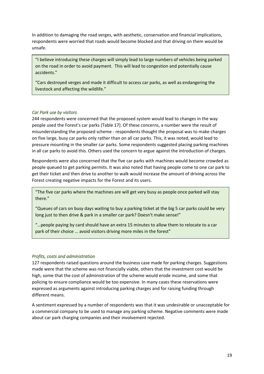In addition to damaging the road verges, with aesthetic, conservation and financial implications, respondents were worried that roads would become blocked and that driving on them would be unsafe.

"I believe introducing these charges will simply lead to large numbers of vehicles being parked on the road in order to avoid payment. This will lead to congestion and potentially cause accidents."

"Cars destroyed verges and made it difficult to access car parks, as well as endangering the livestock and affecting the wildlife."

#### *Car Park use by visitors*

244 respondents were concerned that the proposed system would lead to changes in the way people used the Forest's car parks (Table 17). Of these concerns, a number were the result of misunderstanding the proposed scheme - respondents thought the proposal was to make charges on five large, busy car parks only rather than on all car parks. This, it was noted, would lead to pressure mounting in the smaller car parks. Some respondents suggested placing parking machines in all car parks to avoid this. Others used the concern to argue against the introduction of charges.

Respondents were also concerned that the five car parks with machines would become crowded as people queued to get parking permits. It was also noted that having people come to one car park to get their ticket and then drive to another to walk would increase the amount of driving across the Forest creating negative impacts for the Forest and its users.

"The five car parks where the machines are will get very busy as people once parked will stay there."

"Queues of cars on busy days waiting to buy a parking ticket at the big 5 car parks could be very long just to then drive & park in a smaller car park? Doesn't make sense!"

"…people paying by card should have an extra 15 minutes to allow them to relocate to a car park of their choice … avoid visitors driving more miles in the forest"

#### *Profits, costs and administration*

127 respondents raised questions around the business case made for parking charges. Suggestions made were that the scheme was not financially viable, others that the investment cost would be high, some that the cost of administration of the scheme would erode income, and some that policing to ensure compliance would be too expensive. In many cases these reservations were expressed as arguments against introducing parking charges and for raising funding through different means.

A sentiment expressed by a number of respondents was that it was undesirable or unacceptable for a commercial company to be used to manage any parking scheme. Negative comments were made about car park charging companies and their involvement rejected.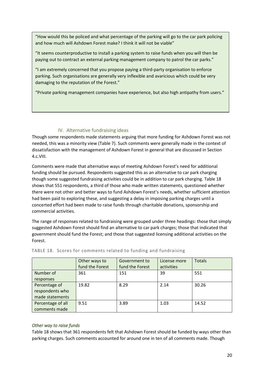"How would this be policed and what percentage of the parking will go to the car park policing and how much will Ashdown Forest make? I think it will not be viable"

"It seems counterproductive to install a parking system to raise funds when you will then be paying out to contract an external parking management company to patrol the car parks."

"I am extremely concerned that you propose paying a third-party organisation to enforce parking. Such organisations are generally very inflexible and avaricious which could be very damaging to the reputation of the Forest."

"Private parking management companies have experience, but also high antipathy from users."

# IV. Alternative fundraising ideas

<span id="page-23-0"></span>Though some respondents made statements arguing that more funding for Ashdown Forest was not needed, this was a minority view (Table 7). Such comments were generally made in the context of dissatisfaction with the management of Ashdown Forest in general that are discussed in Section 4.c.VIII.

Comments were made that alternative ways of meeting Ashdown Forest's need for additional funding should be pursued. Respondents suggested this as an alternative to car park charging though some suggested fundraising activities could be in addition to car park charging. Table 18 shows that 551 respondents, a third of those who made written statements, questioned whether there were not other and better ways to fund Ashdown Forest's needs, whether sufficient attention had been paid to exploring these, and suggesting a delay in imposing parking charges until a concerted effort had been made to raise funds through charitable donations, sponsorship and commercial activities.

The range of responses related to fundraising were grouped under three headings: those that simply suggested Ashdown Forest should find an alternative to car park charges; those that indicated that government should fund the Forest; and those that suggested licensing additional activities on the Forest.

|                   | Other ways to   | Government to   | License more | <b>Totals</b> |
|-------------------|-----------------|-----------------|--------------|---------------|
|                   | fund the Forest | fund the Forest | activities   |               |
| Number of         | 361             | 151             | 39           | 551           |
| responses         |                 |                 |              |               |
| Percentage of     | 19.82           | 8.29            | 2.14         | 30.26         |
| respondents who   |                 |                 |              |               |
| made statements   |                 |                 |              |               |
| Percentage of all | 9.51            | 3.89            | 1.03         | 14.52         |
| comments made     |                 |                 |              |               |

## <span id="page-23-1"></span>TABLE 18. Scores for comments related to funding and fundraising

## *Other way to raise funds*

Table 18 shows that 361 respondents felt that Ashdown Forest should be funded by ways other than parking charges. Such comments accounted for around one in ten of all comments made. Though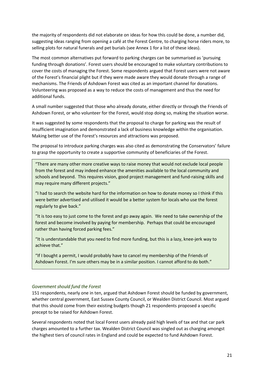the majority of respondents did not elaborate on ideas for how this could be done, a number did, suggesting ideas ranging from opening a café at the Forest Centre, to charging horse riders more, to selling plots for natural funerals and pet burials (see Annex 1 for a list of these ideas).

The most common alternatives put forward to parking charges can be summarised as 'pursuing funding through donations'. Forest users should be encouraged to make voluntary contributions to cover the costs of managing the Forest. Some respondents argued that Forest users were not aware of the Forest's financial plight but if they were made aware they would donate through a range of mechanisms. The Friends of Ashdown Forest was cited as an important channel for donations. Volunteering was proposed as a way to reduce the costs of management and thus the need for additional funds.

A small number suggested that those who already donate, either directly or through the Friends of Ashdown Forest, or who volunteer for the Forest, would stop doing so, making the situation worse.

It was suggested by some respondents that the proposal to charge for parking was the result of insufficient imagination and demonstrated a lack of business knowledge within the organisation. Making better use of the Forest's resources and attractions was proposed.

The proposal to introduce parking charges was also cited as demonstrating the Conservators' failure to grasp the opportunity to create a supportive community of beneficiaries of the Forest.

"There are many other more creative ways to raise money that would not exclude local people from the forest and may indeed enhance the amenities available to the local community and schools and beyond. This requires vision, good project management and fund-raising skills and may require many different projects."

"I had to search the website hard for the information on how to donate money so I think if this were better advertised and utilised it would be a better system for locals who use the forest regularly to give back."

"It is too easy to just come to the forest and go away again. We need to take ownership of the forest and become involved by paying for membership. Perhaps that could be encouraged rather than having forced parking fees."

"It is understandable that you need to find more funding, but this is a lazy, knee-jerk way to achieve that."

"If I bought a permit, I would probably have to cancel my membership of the Friends of Ashdown Forest. I'm sure others may be in a similar position. I cannot afford to do both."

#### *Government should fund the Forest*

151 respondents, nearly one in ten, argued that Ashdown Forest should be funded by government, whether central government, East Sussex County Council, or Wealden District Council. Most argued that this should come from their existing budgets though 21 respondents proposed a specific precept to be raised for Ashdown Forest.

Several respondents noted that local Forest users already paid high levels of tax and that car park charges amounted to a further tax. Wealden District Council was singled out as charging amongst the highest tiers of council rates in England and could be expected to fund Ashdown Forest.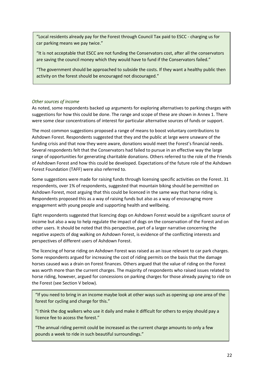"Local residents already pay for the Forest through Council Tax paid to ESCC - charging us for car parking means we pay twice."

"It is not acceptable that ESCC are not funding the Conservators cost, after all the conservators are saving the council money which they would have to fund if the Conservators failed."

"The government should be approached to subside the costs. If they want a healthy public then activity on the forest should be encouraged not discouraged."

## *Other sources of income*

As noted, some respondents backed up arguments for exploring alternatives to parking charges with suggestions for how this could be done. The range and scope of these are shown in Annex 1. There were some clear concentrations of interest for particular alternative sources of funds or support.

The most common suggestions proposed a range of means to boost voluntary contributions to Ashdown Forest. Respondents suggested that they and the public at large were unaware of the funding crisis and that now they were aware, donations would meet the Forest's financial needs. Several respondents felt that the Conservators had failed to pursue in an effective way the large range of opportunities for generating charitable donations. Others referred to the role of the Friends of Ashdown Forest and how this could be developed. Expectations of the future role of the Ashdown Forest Foundation (TAFF) were also referred to.

Some suggestions were made for raising funds through licensing specific activities on the Forest. 31 respondents, over 1% of respondents, suggested that mountain biking should be permitted on Ashdown Forest, most arguing that this could be licenced in the same way that horse riding is. Respondents proposed this as a way of raising funds but also as a way of encouraging more engagement with young people and supporting health and wellbeing.

Eight respondents suggested that licencing dogs on Ashdown Forest would be a significant source of income but also a way to help regulate the impact of dogs on the conservation of the Forest and on other users. It should be noted that this perspective, part of a larger narrative concerning the negative aspects of dog walking on Ashdown Forest, is evidence of the conflicting interests and perspectives of different users of Ashdown Forest.

The licencing of horse riding on Ashdown Forest was raised as an issue relevant to car park charges. Some respondents argued for increasing the cost of riding permits on the basis that the damage horses caused was a drain on Forest finances. Others argued that the value of riding on the Forest was worth more than the current charges. The majority of respondents who raised issues related to horse riding, however, argued for concessions on parking charges for those already paying to ride on the Forest (see Section V below).

"If you need to bring in an income maybe look at other ways such as opening up one area of the forest for cycling and charge for this."

"I think the dog walkers who use it daily and make it difficult for others to enjoy should pay a licence fee to access the forest."

"The annual riding permit could be increased as the current charge amounts to only a few pounds a week to ride in such beautiful surroundings."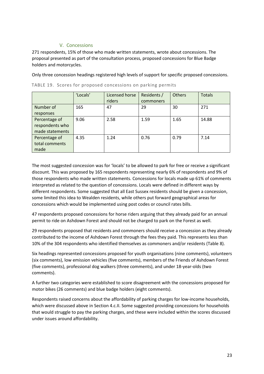## V. Concessions

<span id="page-26-0"></span>271 respondents, 15% of those who made written statements, wrote about concessions. The proposal presented as part of the consultation process, proposed concessions for Blue Badge holders and motorcycles.

Only three concession headings registered high levels of support for specific proposed concessions.

|                 | 'Locals' | Licensed horse | Residents / | <b>Others</b> | <b>Totals</b> |
|-----------------|----------|----------------|-------------|---------------|---------------|
|                 |          | riders         | commoners   |               |               |
| Number of       | 165      | 47             | 29          | 30            | 271           |
| responses       |          |                |             |               |               |
| Percentage of   | 9.06     | 2.58           | 1.59        | 1.65          | 14.88         |
| respondents who |          |                |             |               |               |
| made statements |          |                |             |               |               |
| Percentage of   | 4.35     | 1.24           | 0.76        | 0.79          | 7.14          |
| total comments  |          |                |             |               |               |
| made            |          |                |             |               |               |

<span id="page-26-1"></span>TABLE 19. Scores for proposed concessions on parking permits

The most suggested concession was for 'locals' to be allowed to park for free or receive a significant discount. This was proposed by 165 respondents representing nearly 6% of respondents and 9% of those respondents who made written statements. Concessions for locals made up 61% of comments interpreted as related to the question of concessions. Locals were defined in different ways by different respondents. Some suggested that all East Sussex residents should be given a concession, some limited this idea to Wealden residents, while others put forward geographical areas for concessions which would be implemented using post codes or council rates bills.

47 respondents proposed concessions for horse riders arguing that they already paid for an annual permit to ride on Ashdown Forest and should not be charged to park on the Forest as well.

29 respondents proposed that residents and commoners should receive a concession as they already contributed to the income of Ashdown Forest through the fees they paid. This represents less than 10% of the 304 respondents who identified themselves as commoners and/or residents (Table 8).

Six headings represented concessions proposed for youth organisations (nine comments), volunteers (six comments), low emission vehicles (five comments), members of the Friends of Ashdown Forest (five comments), professional dog walkers (three comments), and under 18-year-olds (two comments).

A further two categories were established to score disagreement with the concessions proposed for motor bikes (26 comments) and blue badge holders (eight comments).

Respondents raised concerns about the affordability of parking charges for low-income households, which were discussed above in Section 4.c.II. Some suggested providing concessions for households that would struggle to pay the parking charges, and these were included within the scores discussed under issues around affordability.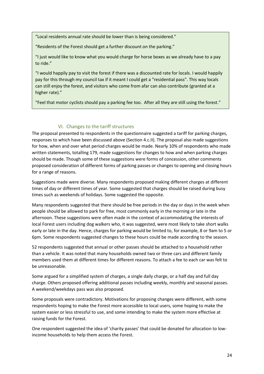"Local residents annual rate should be lower than is being considered."

"Residents of the Forest should get a further discount on the parking."

"I just would like to know what you would charge for horse boxes as we already have to a pay to ride."

"I would happily pay to visit the forest if there was a discounted rate for locals. I would happily pay for this through my council tax if it meant I could get a "residential pass". This way locals can still enjoy the forest, and visitors who come from afar can also contribute (granted at a higher rate)."

"Feel that motor cyclists should pay a parking fee too. After all they are still using the forest."

## VI. Changes to the tariff structures

<span id="page-27-0"></span>The proposal presented to respondents in the questionnaire suggested a tariff for parking charges, responses to which have been discussed above (Section 4.c.II). The proposal also made suggestions for how, when and over what period charges would be made. Nearly 10% of respondents who made written statements, totalling 179, made suggestions for changes to how and when parking charges should be made. Though some of these suggestions were forms of concession, other comments proposed consideration of different forms of parking passes or changes to opening and closing hours for a range of reasons.

Suggestions made were diverse. Many respondents proposed making different charges at different times of day or different times of year. Some suggested that charges should be raised during busy times such as weekends of holidays. Some suggested the opposite.

Many respondents suggested that there should be free periods in the day or days in the week when people should be allowed to park for free, most commonly early in the morning or late in the afternoon. These suggestions were often made in the context of accommodating the interests of local Forest users including dog walkers who, it was suggested, were most likely to take short walks early or late in the day. Hence, charges for parking would be limited to, for example, 8 or 9am to 5 or 6pm. Some respondents suggested changes to these hours could be made according to the season.

52 respondents suggested that annual or other passes should be attached to a household rather than a vehicle. It was noted that many households owned two or three cars and different family members used them at different times for different reasons. To attach a fee to each car was felt to be unreasonable.

Some argued for a simplified system of charges, a single daily charge, or a half day and full day charge. Others proposed offering additional passes including weekly, monthly and seasonal passes. A weekend/weekdays pass was also proposed.

Some proposals were contradictory. Motivations for proposing changes were different, with some respondents hoping to make the Forest more accessible to local users, some hoping to make the system easier or less stressful to use, and some intending to make the system more effective at raising funds for the Forest.

One respondent suggested the idea of 'charity passes' that could be donated for allocation to lowincome households to help them access the Forest.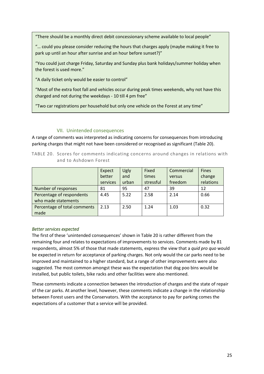"There should be a monthly direct debit concessionary scheme available to local people"

"… could you please consider reducing the hours that charges apply (maybe making it free to park up until an hour after sunrise and an hour before sunset?)"

"You could just charge Friday, Saturday and Sunday plus bank holidays/summer holiday when the forest is used more."

"A daily ticket only would be easier to control"

"Most of the extra foot fall and vehicles occur during peak times weekends, why not have this charged and not during the weekdays - 10 till 4 pm free"

"Two car registrations per household but only one vehicle on the Forest at any time"

## VII. Unintended consequences

<span id="page-28-0"></span>A range of comments was interpreted as indicating concerns for consequences from introducing parking charges that might not have been considered or recognised as significant (Table 20).

<span id="page-28-1"></span>TABLE 20. Scores for comments indicating concerns around changes in relations with and to Ashdown Forest

|                              | Expect   | Ugly  | Fixed     | Commercial | <b>Fines</b> |
|------------------------------|----------|-------|-----------|------------|--------------|
|                              | better   | and   | times     | versus     | change       |
|                              | services | urban | stressful | freedom    | relations    |
| Number of responses          | 81       | 95    | 47        | 39         | 12           |
| Percentage of respondents    | 4.45     | 5.22  | 2.58      | 2.14       | 0.66         |
| who made statements          |          |       |           |            |              |
| Percentage of total comments | 2.13     | 2.50  | 1.24      | 1.03       | 0.32         |
| made                         |          |       |           |            |              |

#### *Better services expected*

The first of these 'unintended consequences' shown in Table 20 is rather different from the remaining four and relates to expectations of improvements to services. Comments made by 81 respondents, almost 5% of those that made statements, express the view that a *quid pro quo* would be expected in return for acceptance of parking charges. Not only would the car parks need to be improved and maintained to a higher standard, but a range of other improvements were also suggested. The most common amongst these was the expectation that dog poo bins would be installed, but public toilets, bike racks and other facilities were also mentioned.

These comments indicate a connection between the introduction of charges and the state of repair of the car parks. At another level, however, these comments indicate a change in the relationship between Forest users and the Conservators. With the acceptance to pay for parking comes the expectations of a customer that a service will be provided.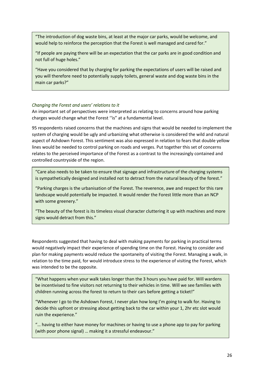"The introduction of dog waste bins, at least at the major car parks, would be welcome, and would help to reinforce the perception that the Forest is well managed and cared for."

"If people are paying there will be an expectation that the car parks are in good condition and not full of huge holes."

"Have you considered that by charging for parking the expectations of users will be raised and you will therefore need to potentially supply toilets, general waste and dog waste bins in the main car parks?"

#### *Changing the Forest and users' relations to it*

An important set of perspectives were interpreted as relating to concerns around how parking charges would change what the Forest ''is" at a fundamental level.

95 respondents raised concerns that the machines and signs that would be needed to implement the system of charging would be ugly and urbanizing what otherwise is considered the wild and natural aspect of Ashdown Forest. This sentiment was also expressed in relation to fears that double yellow lines would be needed to control parking on roads and verges. Put together this set of concerns relates to the perceived importance of the Forest as a contrast to the increasingly contained and controlled countryside of the region.

"Care also needs to be taken to ensure that signage and infrastructure of the charging systems is sympathetically designed and installed not to detract from the natural beauty of the forest."

"Parking charges is the urbanisation of the Forest. The reverence, awe and respect for this rare landscape would potentially be impacted. It would render the Forest little more than an NCP with some greenery."

"The beauty of the forest is its timeless visual character cluttering it up with machines and more signs would detract from this."

Respondents suggested that having to deal with making payments for parking in practical terms would negatively impact their experience of spending time on the Forest. Having to consider and plan for making payments would reduce the spontaneity of visiting the Forest. Managing a walk, in relation to the time paid, for would introduce stress to the experience of visiting the Forest, which was intended to be the opposite.

"What happens when your walk takes longer than the 3 hours you have paid for. Will wardens be incentivised to fine visitors not returning to their vehicles in time. Will we see families with children running across the forest to return to their cars before getting a ticket!"

"Whenever I go to the Ashdown Forest, I never plan how long I'm going to walk for. Having to decide this upfront or stressing about getting back to the car within your 1, 2hr etc slot would ruin the experience."

"… having to either have money for machines or having to use a phone app to pay for parking (with poor phone signal) … making it a stressful endeavour."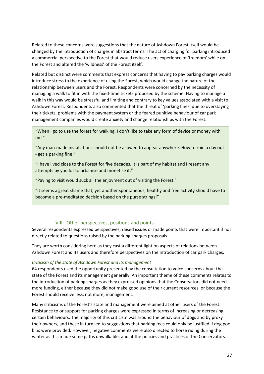Related to these concerns were suggestions that the nature of Ashdown Forest itself would be changed by the introduction of charges in abstract terms. The act of charging for parking introduced a commercial perspective to the Forest that would reduce users experience of 'freedom' while on the Forest and altered the 'wildness' of the Forest itself.

Related but distinct were comments that express concerns that having to pay parking charges would introduce stress to the experience of using the Forest, which would change the nature of the relationship between users and the Forest. Respondents were concerned by the necessity of managing a walk to fit in with the fixed-time tickets proposed by the scheme. Having to manage a walk in this way would be stressful and limiting and contrary to key values associated with a visit to Ashdown Forest. Respondents also commented that the threat of 'parking fines' due to overstaying their tickets, problems with the payment system or the feared punitive behaviour of car park management companies would create anxiety and change relationships with the Forest.

"When I go to use the forest for walking, I don't like to take any form of device or money with me."

"Any man-made installations should not be allowed to appear anywhere. How to ruin a day out - get a parking fine."

"I have lived close to the Forest for five decades. It is part of my habitat and I resent any attempts by you lot to urbanise and monetise it."

"Paying to visit would suck all the enjoyment out of visiting the Forest."

"It seems a great shame that, yet another spontaneous, healthy and free activity should have to become a pre-meditated decision based on the purse strings!"

#### VIII. Other perspectives, positions and points

<span id="page-30-0"></span>Several respondents expressed perspectives, raised issues or made points that were important if not directly related to questions raised by the parking charges proposals.

They are worth considering here as they cast a different light on aspects of relations between Ashdown Forest and its users and therefore perspectives on the introduction of car park charges.

#### *Criticism of the state of Ashdown Forest and its management*

64 respondents used the opportunity presented by the consultation to voice concerns about the state of the Forest and its management generally. An important theme of these comments relates to the introduction of parking charges as they expressed opinions that the Conservators did not need more funding, either because they did not make good use of their current resources, or because the Forest should receive less, not more, management.

Many criticisms of the Forest's state and management were aimed at other users of the Forest. Resistance to or support for parking charges were expressed in terms of increasing or decreasing certain behaviours. The majority of this criticism was around the behaviour of dogs and by proxy their owners, and these in turn led to suggestions that parking fees could only be justified if dog poo bins were provided. However, negative comments were also directed to horse riding during the winter as this made some paths unwalkable, and at the policies and practices of the Conservators.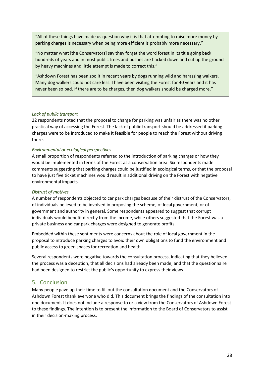"All of these things have made us question why it is that attempting to raise more money by parking charges is necessary when being more efficient is probably more necessary."

"No matter what [the Conservators] say they forget the word forest in its title going back hundreds of years and in most public trees and bushes are hacked down and cut up the ground by heavy machines and little attempt is made to correct this."

"Ashdown Forest has been spoilt in recent years by dogs running wild and harassing walkers. Many dog walkers could not care less. I have been visiting the Forest for 40 years and it has never been so bad. If there are to be charges, then dog walkers should be charged more."

## *Lack of public transport*

22 respondents noted that the proposal to charge for parking was unfair as there was no other practical way of accessing the Forest. The lack of public transport should be addressed if parking charges were to be introduced to make it feasible for people to reach the Forest without driving there.

## *Environmental or ecological perspectives*

A small proportion of respondents referred to the introduction of parking charges or how they would be implemented in terms of the Forest as a conservation area. Six respondents made comments suggesting that parking charges could be justified in ecological terms, or that the proposal to have just five ticket machines would result in additional driving on the Forest with negative environmental impacts.

## *Distrust of motives*

A number of respondents objected to car park charges because of their distrust of the Conservators, of individuals believed to be involved in proposing the scheme, of local government, or of government and authority in general. Some respondents appeared to suggest that corrupt individuals would benefit directly from the income, while others suggested that the Forest was a private business and car park charges were designed to generate profits.

Embedded within these sentiments were concerns about the role of local government in the proposal to introduce parking charges to avoid their own obligations to fund the environment and public access to green spaces for recreation and health.

Several respondents were negative towards the consultation process, indicating that they believed the process was a deception, that all decisions had already been made, and that the questionnaire had been designed to restrict the public's opportunity to express their views

# <span id="page-31-0"></span>5. Conclusion

Many people gave up their time to fill out the consultation document and the Conservators of Ashdown Forest thank everyone who did. This document brings the findings of the consultation into one document. It does not include a response to or a view from the Conservators of Ashdown Forest to these findings. The intention is to present the information to the Board of Conservators to assist in their decision-making process.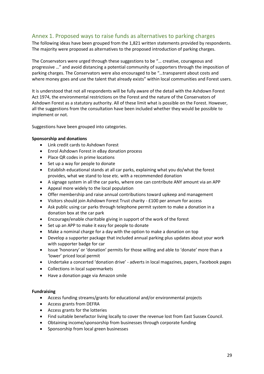# <span id="page-32-0"></span>Annex 1. Proposed ways to raise funds as alternatives to parking charges

The following ideas have been grouped from the 1,821 written statements provided by respondents. The majority were proposed as alternatives to the proposed introduction of parking charges.

The Conservators were urged through these suggestions to be "… creative, courageous and progressive …" and avoid distancing a potential community of supporters through the imposition of parking charges. The Conservators were also encouraged to be "…transparent about costs and where money goes and use the talent that already exists" within local communities and Forest users.

It is understood that not all respondents will be fully aware of the detail with the Ashdown Forest Act 1974, the environmental restrictions on the Forest and the nature of the Conservators of Ashdown Forest as a statutory authority. All of these limit what is possible on the Forest. However, all the suggestions from the consultation have been included whether they would be possible to implement or not.

Suggestions have been grouped into categories.

#### **Sponsorship and donations**

- Link credit cards to Ashdown Forest
- Enrol Ashdown Forest in eBay donation process
- Place QR codes in prime locations
- Set up a way for people to donate
- Establish educational stands at all car parks, explaining what you do/what the forest provides, what we stand to lose etc. with a recommended donation
- A signage system in all the car parks, where one can contribute ANY amount via an APP
- Appeal more widely to the local population
- Offer membership and raise annual contributions toward upkeep and management
- Visitors should join Ashdown Forest Trust charity £100 per annum for access
- Ask public using car parks through telephone permit system to make a donation in a donation box at the car park
- Encourage/enable charitable giving in support of the work of the forest
- Set up an APP to make it easy for people to donate
- Make a nominal charge for a day with the option to make a donation on top
- Develop a supporter package that included annual parking plus updates about your work with supporter badge for car
- Issue 'honorary' or 'donation' permits for those willing and able to 'donate' more than a 'lower' priced local permit
- Undertake a concerted 'donation drive' adverts in local magazines, papers, Facebook pages
- Collections in local supermarkets
- Have a donation page via Amazon smile

#### **Fundraising**

- Access funding streams/grants for educational and/or environmental projects
- Access grants from DEFRA
- Access grants for the lotteries
- Find suitable benefactor living locally to cover the revenue lost from East Sussex Council.
- Obtaining income/sponsorship from businesses through corporate funding
- Sponsorship from local green businesses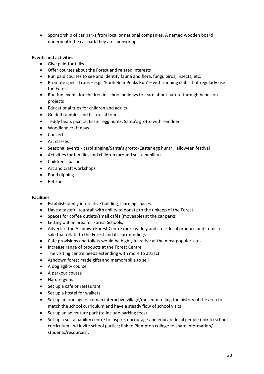• Sponsorship of car parks from local or national companies. A named wooden board underneath the car park they are sponsoring

## **Events and activities**

- Give paid-for talks.
- Offer courses about the Forest and related interests
- Run paid courses to see and identify fauna and flora, fungi, birds, insects, etc.
- Promote special runs e.g., 'Pooh Bear Peaks Run' with running clubs that regularly use the Forest
- Run fun events for children in school holidays to learn about nature through hands on projects
- Educational trips for children and adults
- Guided rambles and historical tours
- Teddy bears picnics, Easter egg hunts, Santa's grotto with reindeer
- Woodland craft days
- Concerts
- Art classes
- Seasonal events carol singing/Santa's grotto/Easter egg hunt/ Halloween festival
- Activities for families and children (around sustainability)
- Children's parties
- Art and craft workshops
- Pond dipping
- Pet zoo

#### **Facilities**

- Establish family interactive building, learning spaces.
- Have a tasteful tea stall with ability to donate to the upkeep of the Forest.
- Spaces for coffee outlets/small cafés (moveable) at the car parks
- Letting out an area for Forest Schools,
- Advertise the Ashdown Forest Centre more widely and stock local produce and items for sale that relate to the Forest and its surroundings
- Cafe provisions and toilets would be highly lucrative at the most popular sites
- Increase range of products at the Forest Centre
- The visiting centre needs extending with more to attract
- Ashdown forest made gifts and memorabilia to sell
- A dog agility course
- A parkour course
- Nature gyms
- Set up a cafe or restaurant
- Set up a hostel for walkers
- Set up an iron age or roman interactive village/museum telling the history of the area to match the school curriculum and have a steady flow of school visits
- Set up an adventure park (to include parking fees)
- Set up a sustainability centre to inspire, encourage and educate local people (link to school curriculum and invite school parties; link to Plumpton college to share information/ students/resources).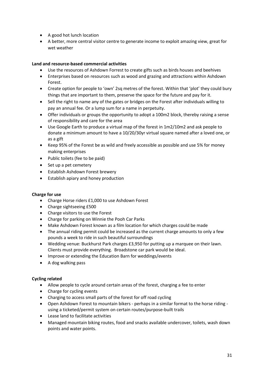- A good hot lunch location
- A better, more central visitor centre to generate income to exploit amazing view, great for wet weather

## **Land and resource-based commercial activities**

- Use the resources of Ashdown Forrest to create gifts such as birds houses and beehives
- Enterprises based on resources such as wood and grazing and attractions within Ashdown Forest.
- Create option for people to 'own' 2sq metres of the forest. Within that 'plot' they could bury things that are important to them, preserve the space for the future and pay for it.
- Sell the right to name any of the gates or bridges on the Forest after individuals willing to pay an annual fee. Or a lump sum for a name in perpetuity.
- Offer individuals or groups the opportunity to adopt a 100m2 block, thereby raising a sense of responsibility and care for the area
- Use Google Earth to produce a virtual map of the forest in 1m2/10m2 and ask people to donate a minimum amount to have a 10/20/30yr virtual square named after a loved one, or as a gift
- Keep 95% of the Forest be as wild and freely accessible as possible and use 5% for money making enterprises
- Public toilets (fee to be paid)
- Set up a pet cemetery
- Establish Ashdown Forest brewery
- Establish apiary and honey production

## **Charge for use**

- Charge Horse riders £1,000 to use Ashdown Forest
- Charge sightseeing £500
- Charge visitors to use the Forest
- Charge for parking on Winnie the Pooh Car Parks
- Make Ashdown Forest known as a film location for which charges could be made
- The annual riding permit could be increased as the current charge amounts to only a few pounds a week to ride in such beautiful surroundings
- Wedding venue: Buckhurst Park charges £3,950 for putting up a marquee on their lawn. Clients must provide everything. Broadstone car park would be ideal.
- Improve or extending the Education Barn for weddings/events
- A dog walking pass

## **Cycling related**

- Allow people to cycle around certain areas of the forest, charging a fee to enter
- Charge for cycling events
- Charging to access small parts of the forest for off road cycling
- Open Ashdown Forest to mountain bikers perhaps in a similar format to the horse riding using a ticketed/permit system on certain routes/purpose-built trails
- Lease land to facilitate activities
- Managed mountain biking routes, food and snacks available undercover, toilets, wash down points and water points.